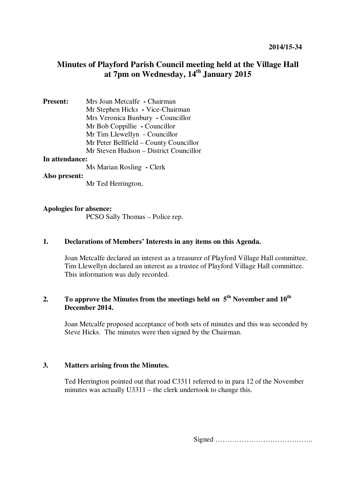# **Minutes of Playford Parish Council meeting held at the Village Hall at 7pm on Wednesday, 14th January 2015**

**Present:** Mrs Joan Metcalfe **-** Chairman Mr Stephen Hicks **-** Vice-Chairman Mrs Veronica Bunbury **-** Councillor Mr Bob Coppillie **-** Councillor Mr Tim Llewellyn - Councillor Mr Peter Bellfield – County Councillor Mr Steven Hudson – District Councillor

#### **In attendance:**

Ms Marian Rosling **-** Clerk

### **Also present:**

Mr Ted Herrington,

### **Apologies for absence:**

PCSO Sally Thomas – Police rep.

## **1. Declarations of Members' Interests in any items on this Agenda.**

Joan Metcalfe declared an interest as a treasurer of Playford Village Hall committee. Tim Llewellyn declared an interest as a trustee of Playford Village Hall committee. This information was duly recorded.

# **2. To approve the Minutes from the meetings held on 5th November and 10th December 2014.**

Joan Metcalfe proposed acceptance of both sets of minutes and this was seconded by Steve Hicks. The minutes were then signed by the Chairman.

# **3. Matters arising from the Minutes.**

Ted Herrington pointed out that road C3311 referred to in para 12 of the November minutes was actually U3311 – the clerk undertook to change this.

Signed …………………………………..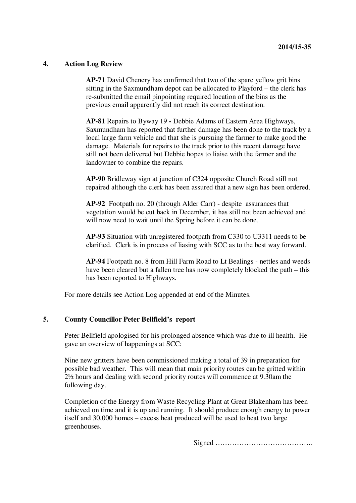## **4. Action Log Review**

**AP-71** David Chenery has confirmed that two of the spare yellow grit bins sitting in the Saxmundham depot can be allocated to Playford – the clerk has re-submitted the email pinpointing required location of the bins as the previous email apparently did not reach its correct destination.

**AP-81** Repairs to Byway 19 **-** Debbie Adams of Eastern Area Highways, Saxmundham has reported that further damage has been done to the track by a local large farm vehicle and that she is pursuing the farmer to make good the damage. Materials for repairs to the track prior to this recent damage have still not been delivered but Debbie hopes to liaise with the farmer and the landowner to combine the repairs.

**AP-90** Bridleway sign at junction of C324 opposite Church Road still not repaired although the clerk has been assured that a new sign has been ordered.

**AP-92** Footpath no. 20 (through Alder Carr) - despite assurances that vegetation would be cut back in December, it has still not been achieved and will now need to wait until the Spring before it can be done.

**AP-93** Situation with unregistered footpath from C330 to U3311 needs to be clarified. Clerk is in process of liasing with SCC as to the best way forward.

**AP-94** Footpath no. 8 from Hill Farm Road to Lt Bealings - nettles and weeds have been cleared but a fallen tree has now completely blocked the path – this has been reported to Highways.

For more details see Action Log appended at end of the Minutes.

## **5. County Councillor Peter Bellfield's report**

Peter Bellfield apologised for his prolonged absence which was due to ill health. He gave an overview of happenings at SCC:

Nine new gritters have been commissioned making a total of 39 in preparation for possible bad weather. This will mean that main priority routes can be gritted within 2½ hours and dealing with second priority routes will commence at 9.30am the following day.

Completion of the Energy from Waste Recycling Plant at Great Blakenham has been achieved on time and it is up and running. It should produce enough energy to power itself and 30,000 homes – excess heat produced will be used to heat two large greenhouses.

Signed …………………………………..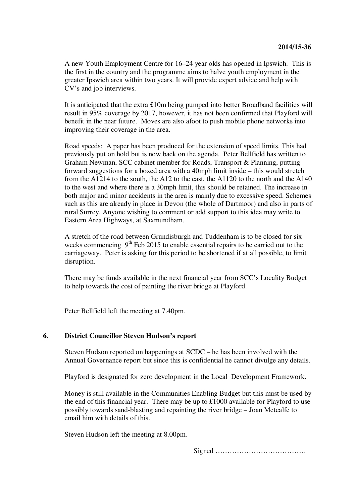A new Youth Employment Centre for 16–24 year olds has opened in Ipswich. This is the first in the country and the programme aims to halve youth employment in the greater Ipswich area within two years. It will provide expert advice and help with CV's and job interviews.

It is anticipated that the extra £10m being pumped into better Broadband facilities will result in 95% coverage by 2017, however, it has not been confirmed that Playford will benefit in the near future. Moves are also afoot to push mobile phone networks into improving their coverage in the area.

Road speeds: A paper has been produced for the extension of speed limits. This had previously put on hold but is now back on the agenda. Peter Bellfield has written to Graham Newman, SCC cabinet member for Roads, Transport & Planning, putting forward suggestions for a boxed area with a 40mph limit inside – this would stretch from the A1214 to the south, the A12 to the east, the A1120 to the north and the A140 to the west and where there is a 30mph limit, this should be retained. The increase in both major and minor accidents in the area is mainly due to excessive speed. Schemes such as this are already in place in Devon (the whole of Dartmoor) and also in parts of rural Surrey. Anyone wishing to comment or add support to this idea may write to Eastern Area Highways, at Saxmundham.

A stretch of the road between Grundisburgh and Tuddenham is to be closed for six weeks commencing  $9<sup>th</sup>$  Feb 2015 to enable essential repairs to be carried out to the carriageway. Peter is asking for this period to be shortened if at all possible, to limit disruption.

There may be funds available in the next financial year from SCC's Locality Budget to help towards the cost of painting the river bridge at Playford.

Peter Bellfield left the meeting at 7.40pm.

## **6. District Councillor Steven Hudson's report**

Steven Hudson reported on happenings at SCDC – he has been involved with the Annual Governance report but since this is confidential he cannot divulge any details.

Playford is designated for zero development in the Local Development Framework.

Money is still available in the Communities Enabling Budget but this must be used by the end of this financial year. There may be up to £1000 available for Playford to use possibly towards sand-blasting and repainting the river bridge – Joan Metcalfe to email him with details of this.

Steven Hudson left the meeting at 8.00pm.

Signed ………………………………..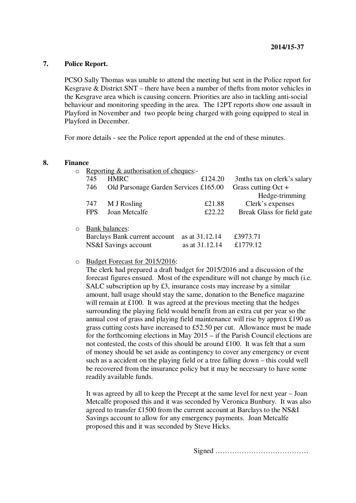# **7. Police Report.**

PCSO Sally Thomas was unable to attend the meeting but sent in the Police report for Kesgrave & District SNT – there have been a number of thefts from motor vehicles in the Kesgrave area which is causing concern. Priorities are also in tackling anti-social behaviour and monitoring speeding in the area. The 12PT reports show one assault in Playford in November and two people being charged with going equipped to steal in Playford in December.

For more details - see the Police report appended at the end of these minutes.

#### **8. Finance**

| $\circ$ | Reporting & authorisation of cheques:- |                                       |                |                              |
|---------|----------------------------------------|---------------------------------------|----------------|------------------------------|
|         | 745                                    | <b>HMRC</b>                           | £124.20        | 3 mths tax on clerk's salary |
|         | 746                                    | Old Parsonage Garden Services £165.00 |                | Grass cutting $Oct +$        |
|         |                                        |                                       |                | Hedge-trimming               |
|         | 747                                    | M J Rosling                           | £21.88         | Clerk's expenses             |
|         | <b>FPS</b>                             | Joan Metcalfe                         | £22.22         | Break Glass for field gate   |
|         |                                        |                                       |                |                              |
| $\circ$ |                                        | <b>Bank balances:</b>                 |                |                              |
|         | Barclays Bank current account          |                                       | as at 31.12.14 | £3973.71                     |
|         | NS&I Savings account<br>as at 31.12.14 |                                       | £1779.12       |                              |

#### o Budget Forecast for 2015/2016:

The clerk had prepared a draft budget for 2015/2016 and a discussion of the forecast figures ensued. Most of the expenditure will not change by much (i.e. SALC subscription up by £3, insurance costs may increase by a similar amount, hall usage should stay the same, donation to the Benefice magazine will remain at £100. It was agreed at the previous meeting that the hedges surrounding the playing field would benefit from an extra cut per year so the annual cost of grass and playing field maintenance will rise by approx £190 as grass cutting costs have increased to £52.50 per cut. Allowance must be made for the forthcoming elections in May 2015 – if the Parish Council elections are not contested, the costs of this should be around  $£100$ . It was felt that a sum of money should be set aside as contingency to cover any emergency or event such as a accident on the playing field or a tree falling down – this could well be recovered from the insurance policy but it may be necessary to have some readily available funds.

It was agreed by all to keep the Precept at the same level for next year – Joan Metcalfe proposed this and it was seconded by Veronica Bunbury. It was also agreed to transfer £1500 from the current account at Barclays to the NS&I Savings account to allow for any emergency payments. Joan Metcalfe proposed this and it was seconded by Steve Hicks.

Signed …………………………………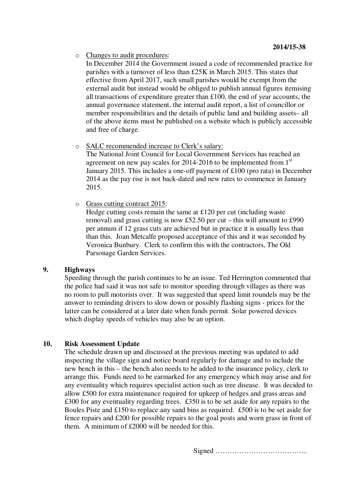o Changes to audit procedures:

In December 2014 the Government issued a code of recommended practice for parishes with a turnover of less than £25K in March 2015. This states that effective from April 2017, such small parishes would be exempt from the external audit but instead would be obliged to publish annual figures itemising all transactions of expenditure greater than £100, the end of year accounts, the annual governance statement, the internal audit report, a list of councillor or member responsibilities and the details of public land and building assets– all of the above items must be published on a website which is publicly accessible and free of charge.

o SALC recommended increase to Clerk's salary:

The National Joint Council for Local Government Services has reached an agreement on new pay scales for  $2014-2016$  to be implemented from  $1<sup>st</sup>$ January 2015. This includes a one-off payment of £100 (pro rata) in December 2014 as the pay rise is not back-dated and new rates to commence in January 2015.

o Grass cutting contract 2015:

Hedge cutting costs remain the same at £120 per cut (including waste removal) and grass cutting is now £52.50 per cut – this will amount to £990 per annum if 12 grass cuts are achieved but in practice it is usually less than than this. Joan Metcalfe proposed acceptance of this and it was seconded by Veronica Bunbury. Clerk to confirm this with the contractors, The Old Parsonage Garden Services.

## **9. Highways**

Speeding through the parish continues to be an issue. Ted Herrington commented that the police had said it was not safe to monitor speeding through villages as there was no room to pull motorists over. It was suggested that speed limit roundels may be the answer to reminding drivers to slow down or possibly flashing signs - prices for the latter can be considered at a later date when funds permit. Solar powered devices which display speeds of vehicles may also be an option.

# **10. Risk Assessment Update**

The schedule drawn up and discussed at the previous meeting was updated to add inspecting the village sign and notice board regularly for damage and to include the new bench in this – the bench also needs to be added to the insurance policy, clerk to arrange this. Funds need to be earmarked for any emergency which may arise and for any eventuality which requires specialist action such as tree disease. It was decided to allow £500 for extra maintenance required for upkeep of hedges and grass areas and £300 for any eventuality regarding trees. £350 is to be set aside for any repairs to the Boules Piste and £150 to replace any sand bins as required. £500 is to be set aside for fence repairs and £200 for possible repairs to the goal posts and worn grass in front of them. A minimum of £2000 will be needed for this.

Signed ………………………………...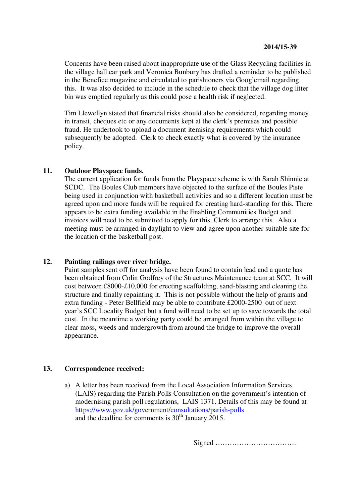Concerns have been raised about inappropriate use of the Glass Recycling facilities in the village hall car park and Veronica Bunbury has drafted a reminder to be published in the Benefice magazine and circulated to parishioners via Googlemail regarding this. It was also decided to include in the schedule to check that the village dog litter bin was emptied regularly as this could pose a health risk if neglected.

Tim Llewellyn stated that financial risks should also be considered, regarding money in transit, cheques etc or any documents kept at the clerk's premises and possible fraud. He undertook to upload a document itemising requirements which could subsequently be adopted. Clerk to check exactly what is covered by the insurance policy.

# **11. Outdoor Playspace funds.**

The current application for funds from the Playspace scheme is with Sarah Shinnie at SCDC. The Boules Club members have objected to the surface of the Boules Piste being used in conjunction with basketball activities and so a different location must be agreed upon and more funds will be required for creating hard-standing for this. There appears to be extra funding available in the Enabling Communities Budget and invoices will need to be submitted to apply for this. Clerk to arrange this. Also a meeting must be arranged in daylight to view and agree upon another suitable site for the location of the basketball post.

## **12. Painting railings over river bridge.**

Paint samples sent off for analysis have been found to contain lead and a quote has been obtained from Colin Godfrey of the Structures Maintenance team at SCC. It will cost between £8000-£10,000 for erecting scaffolding, sand-blasting and cleaning the structure and finally repainting it. This is not possible without the help of grants and extra funding - Peter Bellfield may be able to contribute £2000-2500 out of next year's SCC Locality Budget but a fund will need to be set up to save towards the total cost. In the meantime a working party could be arranged from within the village to clear moss, weeds and undergrowth from around the bridge to improve the overall appearance.

# **13. Correspondence received:**

a) A letter has been received from the Local Association Information Services (LAIS) regarding the Parish Polls Consultation on the government's intention of modernising parish poll regulations, LAIS 1371. Details of this may be found at https://www.gov.uk/government/consultations/parish-polls and the deadline for comments is  $30<sup>th</sup>$  January 2015.

Signed …………………………….